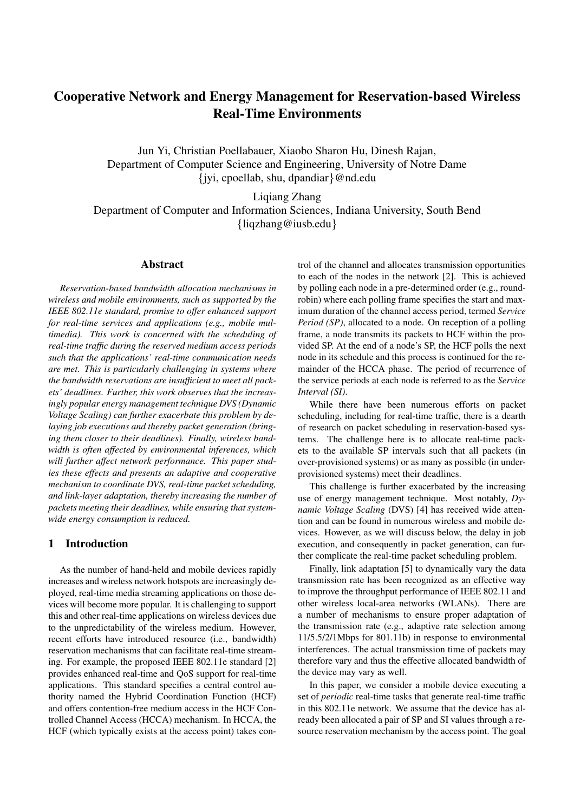# Cooperative Network and Energy Management for Reservation-based Wireless Real-Time Environments

Jun Yi, Christian Poellabauer, Xiaobo Sharon Hu, Dinesh Rajan, Department of Computer Science and Engineering, University of Notre Dame {jyi, cpoellab, shu, dpandiar}@nd.edu

Liqiang Zhang Department of Computer and Information Sciences, Indiana University, South Bend {liqzhang@iusb.edu}

### Abstract

*Reservation-based bandwidth allocation mechanisms in wireless and mobile environments, such as supported by the IEEE 802.11e standard, promise to offer enhanced support for real-time services and applications (e.g., mobile multimedia). This work is concerned with the scheduling of real-time traffic during the reserved medium access periods such that the applications' real-time communication needs are met. This is particularly challenging in systems where the bandwidth reservations are insufficient to meet all packets' deadlines. Further, this work observes that the increasingly popular energy management technique DVS (Dynamic Voltage Scaling) can further exacerbate this problem by delaying job executions and thereby packet generation (bringing them closer to their deadlines). Finally, wireless bandwidth is often affected by environmental inferences, which will further affect network performance. This paper studies these effects and presents an adaptive and cooperative mechanism to coordinate DVS, real-time packet scheduling, and link-layer adaptation, thereby increasing the number of packets meeting their deadlines, while ensuring that systemwide energy consumption is reduced.*

## 1 Introduction

As the number of hand-held and mobile devices rapidly increases and wireless network hotspots are increasingly deployed, real-time media streaming applications on those devices will become more popular. It is challenging to support this and other real-time applications on wireless devices due to the unpredictability of the wireless medium. However, recent efforts have introduced resource (i.e., bandwidth) reservation mechanisms that can facilitate real-time streaming. For example, the proposed IEEE 802.11e standard [2] provides enhanced real-time and QoS support for real-time applications. This standard specifies a central control authority named the Hybrid Coordination Function (HCF) and offers contention-free medium access in the HCF Controlled Channel Access (HCCA) mechanism. In HCCA, the HCF (which typically exists at the access point) takes control of the channel and allocates transmission opportunities to each of the nodes in the network [2]. This is achieved by polling each node in a pre-determined order (e.g., roundrobin) where each polling frame specifies the start and maximum duration of the channel access period, termed *Service Period (SP)*, allocated to a node. On reception of a polling frame, a node transmits its packets to HCF within the provided SP. At the end of a node's SP, the HCF polls the next node in its schedule and this process is continued for the remainder of the HCCA phase. The period of recurrence of the service periods at each node is referred to as the *Service Interval (SI)*.

While there have been numerous efforts on packet scheduling, including for real-time traffic, there is a dearth of research on packet scheduling in reservation-based systems. The challenge here is to allocate real-time packets to the available SP intervals such that all packets (in over-provisioned systems) or as many as possible (in underprovisioned systems) meet their deadlines.

This challenge is further exacerbated by the increasing use of energy management technique. Most notably, *Dynamic Voltage Scaling* (DVS) [4] has received wide attention and can be found in numerous wireless and mobile devices. However, as we will discuss below, the delay in job execution, and consequently in packet generation, can further complicate the real-time packet scheduling problem.

Finally, link adaptation [5] to dynamically vary the data transmission rate has been recognized as an effective way to improve the throughput performance of IEEE 802.11 and other wireless local-area networks (WLANs). There are a number of mechanisms to ensure proper adaptation of the transmission rate (e.g., adaptive rate selection among 11/5.5/2/1Mbps for 801.11b) in response to environmental interferences. The actual transmission time of packets may therefore vary and thus the effective allocated bandwidth of the device may vary as well.

In this paper, we consider a mobile device executing a set of *periodic* real-time tasks that generate real-time traffic in this 802.11e network. We assume that the device has already been allocated a pair of SP and SI values through a resource reservation mechanism by the access point. The goal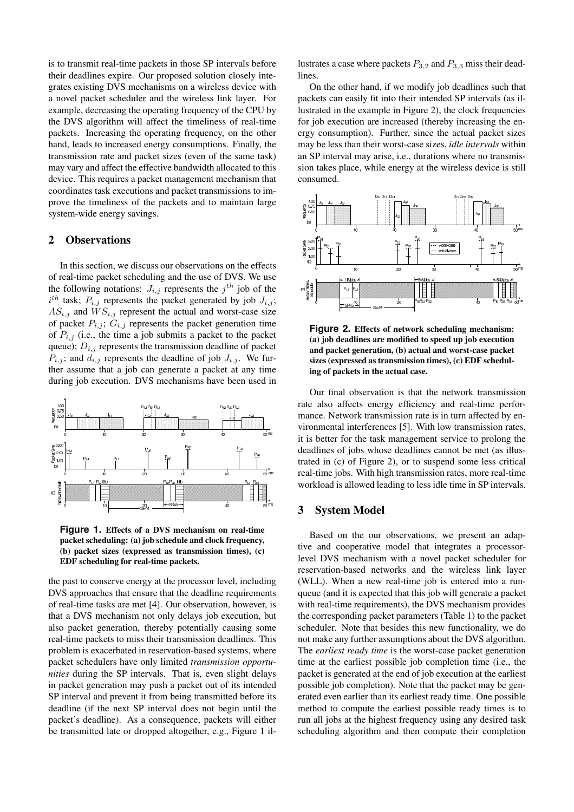is to transmit real-time packets in those SP intervals before their deadlines expire. Our proposed solution closely integrates existing DVS mechanisms on a wireless device with a novel packet scheduler and the wireless link layer. For example, decreasing the operating frequency of the CPU by the DVS algorithm will affect the timeliness of real-time packets. Increasing the operating frequency, on the other hand, leads to increased energy consumptions. Finally, the transmission rate and packet sizes (even of the same task) may vary and affect the effective bandwidth allocated to this device. This requires a packet management mechanism that coordinates task executions and packet transmissions to improve the timeliness of the packets and to maintain large system-wide energy savings.

#### 2 Observations

In this section, we discuss our observations on the effects of real-time packet scheduling and the use of DVS. We use the following notations:  $J_{i,j}$  represents the  $j^{th}$  job of the  $i^{th}$  task;  $P_{i,j}$  represents the packet generated by job  $J_{i,j}$ ;  $AS_{i,j}$  and  $WS_{i,j}$  represent the actual and worst-case size of packet  $P_{i,j}$ ;  $G_{i,j}$  represents the packet generation time of  $P_{i,j}$  (i.e., the time a job submits a packet to the packet queue);  $D_{i,j}$  represents the transmission deadline of packet  $P_{i,j}$ ; and  $d_{i,j}$  represents the deadline of job  $J_{i,j}$ . We further assume that a job can generate a packet at any time during job execution. DVS mechanisms have been used in



**Figure 1.** Effects of a DVS mechanism on real-time packet scheduling: (a) job schedule and clock frequency, (b) packet sizes (expressed as transmission times), (c) EDF scheduling for real-time packets.

the past to conserve energy at the processor level, including DVS approaches that ensure that the deadline requirements of real-time tasks are met [4]. Our observation, however, is that a DVS mechanism not only delays job execution, but also packet generation, thereby potentially causing some real-time packets to miss their transmission deadlines. This problem is exacerbated in reservation-based systems, where packet schedulers have only limited *transmission opportunities* during the SP intervals. That is, even slight delays in packet generation may push a packet out of its intended SP interval and prevent it from being transmitted before its deadline (if the next SP interval does not begin until the packet's deadline). As a consequence, packets will either be transmitted late or dropped altogether, e.g., Figure 1 illustrates a case where packets  $P_{3,2}$  and  $P_{3,3}$  miss their deadlines.

On the other hand, if we modify job deadlines such that packets can easily fit into their intended SP intervals (as illustrated in the example in Figure 2), the clock frequencies for job execution are increased (thereby increasing the energy consumption). Further, since the actual packet sizes may be less than their worst-case sizes, *idle intervals* within an SP interval may arise, i.e., durations where no transmission takes place, while energy at the wireless device is still consumed.



**Figure 2.** Effects of network scheduling mechanism: (a) job deadlines are modified to speed up job execution and packet generation, (b) actual and worst-case packet sizes (expressed as transmission times), (c) EDF scheduling of packets in the actual case.

Our final observation is that the network transmission rate also affects energy efficiency and real-time performance. Network transmission rate is in turn affected by environmental interferences [5]. With low transmission rates, it is better for the task management service to prolong the deadlines of jobs whose deadlines cannot be met (as illustrated in (c) of Figure 2), or to suspend some less critical real-time jobs. With high transmission rates, more real-time workload is allowed leading to less idle time in SP intervals.

#### 3 System Model

Based on the our observations, we present an adaptive and cooperative model that integrates a processorlevel DVS mechanism with a novel packet scheduler for reservation-based networks and the wireless link layer (WLL). When a new real-time job is entered into a runqueue (and it is expected that this job will generate a packet with real-time requirements), the DVS mechanism provides the corresponding packet parameters (Table 1) to the packet scheduler. Note that besides this new functionality, we do not make any further assumptions about the DVS algorithm. The *earliest ready time* is the worst-case packet generation time at the earliest possible job completion time (i.e., the packet is generated at the end of job execution at the earliest possible job completion). Note that the packet may be generated even earlier than its earliest ready time. One possible method to compute the earliest possible ready times is to run all jobs at the highest frequency using any desired task scheduling algorithm and then compute their completion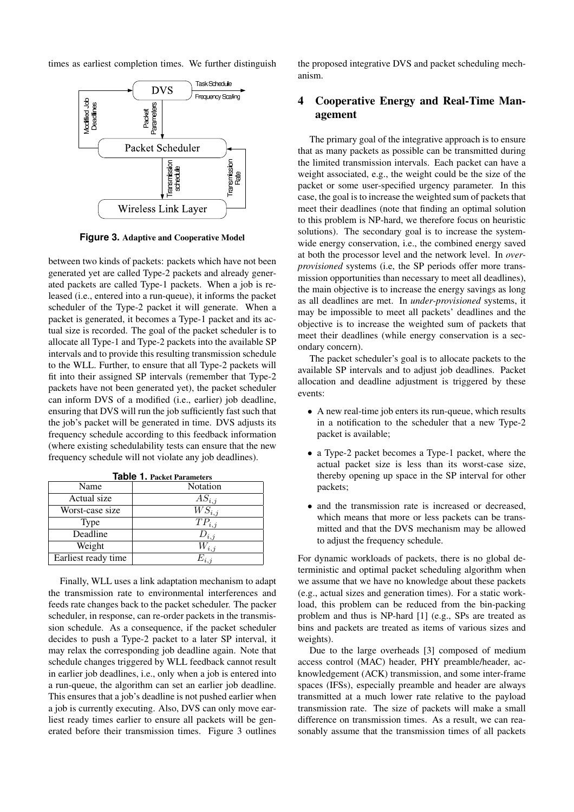times as earliest completion times. We further distinguish



**Figure 3.** Adaptive and Cooperative Model

between two kinds of packets: packets which have not been generated yet are called Type-2 packets and already generated packets are called Type-1 packets. When a job is released (i.e., entered into a run-queue), it informs the packet scheduler of the Type-2 packet it will generate. When a packet is generated, it becomes a Type-1 packet and its actual size is recorded. The goal of the packet scheduler is to allocate all Type-1 and Type-2 packets into the available SP intervals and to provide this resulting transmission schedule to the WLL. Further, to ensure that all Type-2 packets will fit into their assigned SP intervals (remember that Type-2 packets have not been generated yet), the packet scheduler can inform DVS of a modified (i.e., earlier) job deadline, ensuring that DVS will run the job sufficiently fast such that the job's packet will be generated in time. DVS adjusts its frequency schedule according to this feedback information (where existing schedulability tests can ensure that the new frequency schedule will not violate any job deadlines).

| Name                | Notation              |
|---------------------|-----------------------|
| Actual size         | $AS_{i,j}$            |
| Worst-case size     | $\overline{WS}_{i,j}$ |
| Type                | $TP_{i,j}$            |
| Deadline            | $D_{i,j}$             |
| Weight              | $W_{i,j}$             |
| Earliest ready time | $E_{i,j}$             |

| <b>Table 1. Packet Parameters</b> |  |
|-----------------------------------|--|
|                                   |  |

Finally, WLL uses a link adaptation mechanism to adapt the transmission rate to environmental interferences and feeds rate changes back to the packet scheduler. The packer scheduler, in response, can re-order packets in the transmission schedule. As a consequence, if the packet scheduler decides to push a Type-2 packet to a later SP interval, it may relax the corresponding job deadline again. Note that schedule changes triggered by WLL feedback cannot result in earlier job deadlines, i.e., only when a job is entered into a run-queue, the algorithm can set an earlier job deadline. This ensures that a job's deadline is not pushed earlier when a job is currently executing. Also, DVS can only move earliest ready times earlier to ensure all packets will be generated before their transmission times. Figure 3 outlines the proposed integrative DVS and packet scheduling mechanism.

# 4 Cooperative Energy and Real-Time Management

The primary goal of the integrative approach is to ensure that as many packets as possible can be transmitted during the limited transmission intervals. Each packet can have a weight associated, e.g., the weight could be the size of the packet or some user-specified urgency parameter. In this case, the goal is to increase the weighted sum of packets that meet their deadlines (note that finding an optimal solution to this problem is NP-hard, we therefore focus on heuristic solutions). The secondary goal is to increase the systemwide energy conservation, i.e., the combined energy saved at both the processor level and the network level. In *overprovisioned* systems (i.e, the SP periods offer more transmission opportunities than necessary to meet all deadlines), the main objective is to increase the energy savings as long as all deadlines are met. In *under-provisioned* systems, it may be impossible to meet all packets' deadlines and the objective is to increase the weighted sum of packets that meet their deadlines (while energy conservation is a secondary concern).

The packet scheduler's goal is to allocate packets to the available SP intervals and to adjust job deadlines. Packet allocation and deadline adjustment is triggered by these events:

- A new real-time job enters its run-queue, which results in a notification to the scheduler that a new Type-2 packet is available;
- a Type-2 packet becomes a Type-1 packet, where the actual packet size is less than its worst-case size, thereby opening up space in the SP interval for other packets;
- and the transmission rate is increased or decreased, which means that more or less packets can be transmitted and that the DVS mechanism may be allowed to adjust the frequency schedule.

For dynamic workloads of packets, there is no global deterministic and optimal packet scheduling algorithm when we assume that we have no knowledge about these packets (e.g., actual sizes and generation times). For a static workload, this problem can be reduced from the bin-packing problem and thus is NP-hard [1] (e.g., SPs are treated as bins and packets are treated as items of various sizes and weights).

Due to the large overheads [3] composed of medium access control (MAC) header, PHY preamble/header, acknowledgement (ACK) transmission, and some inter-frame spaces (IFSs), especially preamble and header are always transmitted at a much lower rate relative to the payload transmission rate. The size of packets will make a small difference on transmission times. As a result, we can reasonably assume that the transmission times of all packets